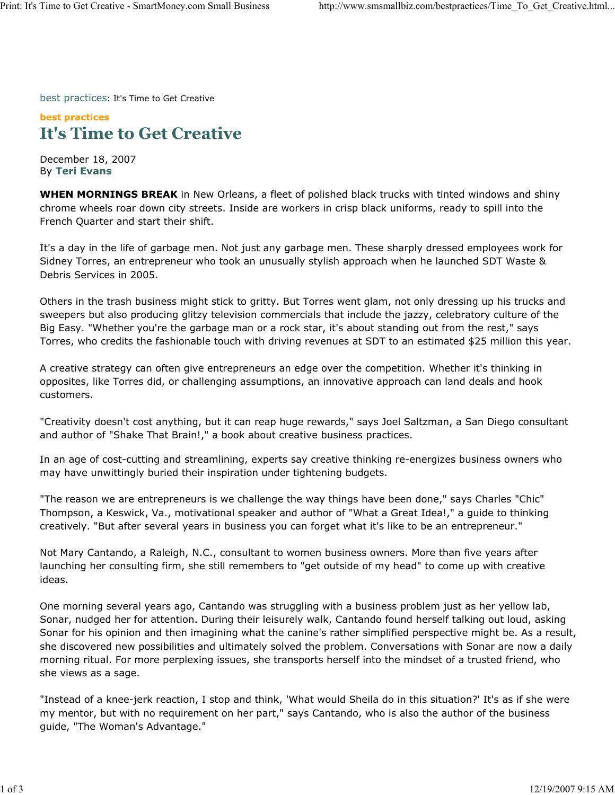best practices: It's Time to Get Creative

## **best practices It's Time to Get Creative**

December 18, 2007 By **Teri Evans**

**WHEN MORNINGS BREAK** in New Orleans, a fleet of polished black trucks with tinted windows and shiny chrome wheels roar down city streets. Inside are workers in crisp black uniforms, ready to spill into the French Quarter and start their shift.

It's a day in the life of garbage men. Not just any garbage men. These sharply dressed employees work for Sidney Torres, an entrepreneur who took an unusually stylish approach when he launched SDT Waste & Debris Services in 2005.

Others in the trash business might stick to gritty. But Torres went glam, not only dressing up his trucks and sweepers but also producing glitzy television commercials that include the jazzy, celebratory culture of the Big Easy. "Whether you're the garbage man or a rock star, it's about standing out from the rest," says Torres, who credits the fashionable touch with driving revenues at SDT to an estimated \$25 million this year.

A creative strategy can often give entrepreneurs an edge over the competition. Whether it's thinking in opposites, like Torres did, or challenging assumptions, an innovative approach can land deals and hook customers.

"Creativity doesn't cost anything, but it can reap huge rewards," says Joel Saltzman, a San Diego consultant and author of "Shake That Brain!," a book about creative business practices.

In an age of cost-cutting and streamlining, experts say creative thinking re-energizes business owners who may have unwittingly buried their inspiration under tightening budgets.

"The reason we are entrepreneurs is we challenge the way things have been done," says Charles "Chic" Thompson, a Keswick, Va., motivational speaker and author of "What a Great Idea!," a guide to thinking creatively. "But after several years in business you can forget what it's like to be an entrepreneur."

Not Mary Cantando, a Raleigh, N.C., consultant to women business owners. More than five years after launching her consulting firm, she still remembers to "get outside of my head" to come up with creative ideas.

One morning several years ago, Cantando was struggling with a business problem just as her yellow lab, Sonar, nudged her for attention. During their leisurely walk, Cantando found herself talking out loud, asking Sonar for his opinion and then imagining what the canine's rather simplified perspective might be. As a result, she discovered new possibilities and ultimately solved the problem. Conversations with Sonar are now a daily morning ritual. For more perplexing issues, she transports herself into the mindset of a trusted friend, who she views as a sage.

"Instead of a knee-jerk reaction, I stop and think, 'What would Sheila do in this situation?' It's as if she were my mentor, but with no requirement on her part," says Cantando, who is also the author of the business guide, "The Woman's Advantage."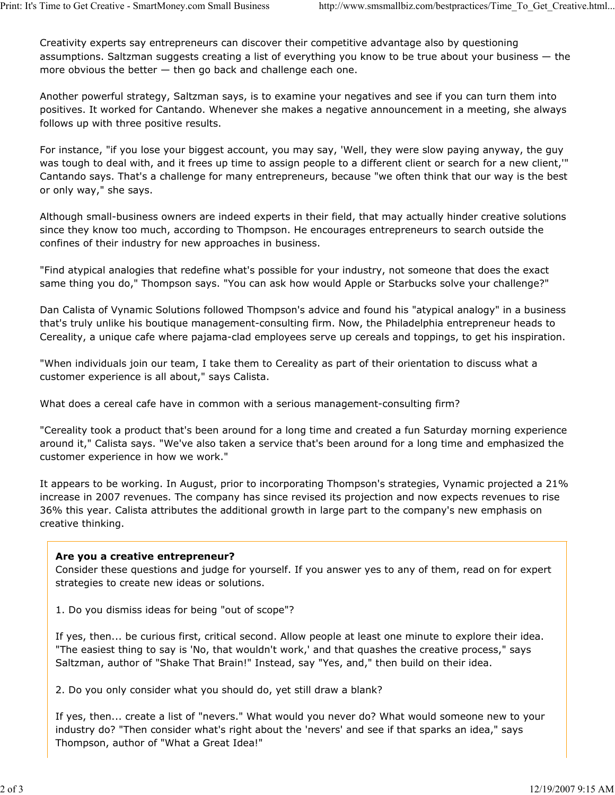Creativity experts say entrepreneurs can discover their competitive advantage also by questioning assumptions. Saltzman suggests creating a list of everything you know to be true about your business — the more obvious the better  $-$  then go back and challenge each one.

Another powerful strategy, Saltzman says, is to examine your negatives and see if you can turn them into positives. It worked for Cantando. Whenever she makes a negative announcement in a meeting, she always follows up with three positive results.

For instance, "if you lose your biggest account, you may say, 'Well, they were slow paying anyway, the guy was tough to deal with, and it frees up time to assign people to a different client or search for a new client,'" Cantando says. That's a challenge for many entrepreneurs, because "we often think that our way is the best or only way," she says.

Although small-business owners are indeed experts in their field, that may actually hinder creative solutions since they know too much, according to Thompson. He encourages entrepreneurs to search outside the confines of their industry for new approaches in business.

"Find atypical analogies that redefine what's possible for your industry, not someone that does the exact same thing you do," Thompson says. "You can ask how would Apple or Starbucks solve your challenge?"

Dan Calista of Vynamic Solutions followed Thompson's advice and found his "atypical analogy" in a business that's truly unlike his boutique management-consulting firm. Now, the Philadelphia entrepreneur heads to Cereality, a unique cafe where pajama-clad employees serve up cereals and toppings, to get his inspiration.

"When individuals join our team, I take them to Cereality as part of their orientation to discuss what a customer experience is all about," says Calista.

What does a cereal cafe have in common with a serious management-consulting firm?

"Cereality took a product that's been around for a long time and created a fun Saturday morning experience around it," Calista says. "We've also taken a service that's been around for a long time and emphasized the customer experience in how we work."

It appears to be working. In August, prior to incorporating Thompson's strategies, Vynamic projected a 21% increase in 2007 revenues. The company has since revised its projection and now expects revenues to rise 36% this year. Calista attributes the additional growth in large part to the company's new emphasis on creative thinking.

## **Are you a creative entrepreneur?**

Consider these questions and judge for yourself. If you answer yes to any of them, read on for expert strategies to create new ideas or solutions.

1. Do you dismiss ideas for being "out of scope"?

If yes, then... be curious first, critical second. Allow people at least one minute to explore their idea. "The easiest thing to say is 'No, that wouldn't work,' and that quashes the creative process," says Saltzman, author of "Shake That Brain!" Instead, say "Yes, and," then build on their idea.

2. Do you only consider what you should do, yet still draw a blank?

If yes, then... create a list of "nevers." What would you never do? What would someone new to your industry do? "Then consider what's right about the 'nevers' and see if that sparks an idea," says Thompson, author of "What a Great Idea!"